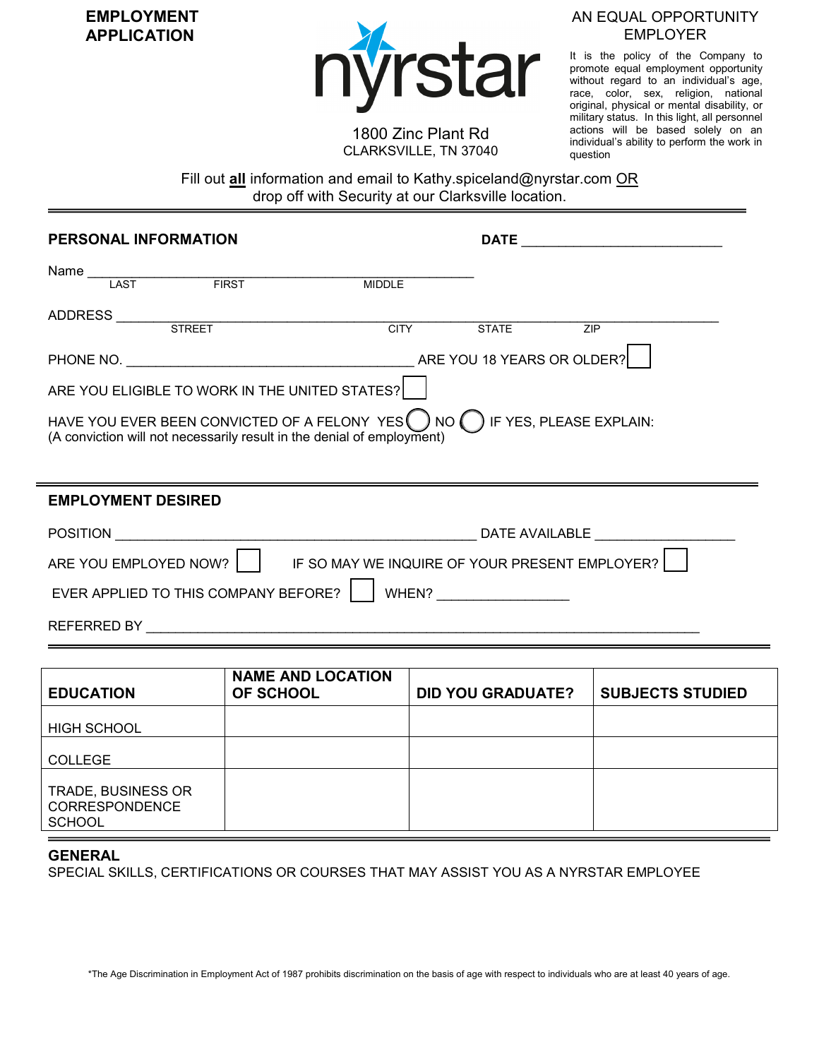**EMPLOYMENT APPLICATION**



1800 Zinc Plant Rd CLARKSVILLE, TN 37040

## AN EQUAL OPPORTUNITY EMPLOYER

It is the policy of the Company to promote equal employment opportunity without regard to an individual's age, race, color, sex, religion, national original, physical or mental disability, or military status. In this light, all personnel actions will be based solely on an individual's ability to perform the work in question

Fill out **all** information and email to Kathy.spiceland@nyrstar.com OR drop off with Security at our Clarksville location.

| PERSONAL INFORMATION                           |                                                                                                                                                                         | <b>DATE</b>         |
|------------------------------------------------|-------------------------------------------------------------------------------------------------------------------------------------------------------------------------|---------------------|
| Name<br>FIRST<br>LAST                          | <b>MIDDLE</b>                                                                                                                                                           |                     |
| ADDRESS<br><b>STREET</b>                       | <b>CITY</b>                                                                                                                                                             | <b>STATE</b><br>ZIP |
|                                                |                                                                                                                                                                         |                     |
| ARE YOU ELIGIBLE TO WORK IN THE UNITED STATES? |                                                                                                                                                                         |                     |
|                                                | HAVE YOU EVER BEEN CONVICTED OF A FELONY YES $\bigcirc$ NO $\bigcirc$ if YES, PLEASE EXPLAIN:<br>(A conviction will not necessarily result in the denial of employment) |                     |
|                                                |                                                                                                                                                                         |                     |
| <b>EMPLOYMENT DESIRED</b>                      |                                                                                                                                                                         |                     |
| <b>POSITION</b>                                |                                                                                                                                                                         | DATE AVAILABLE      |

| ARE YOU EMPLOYED NOW? | IF SO MAY WE INQUIRE OF YOUR PRESENT EMPLOYER? |  |
|-----------------------|------------------------------------------------|--|
|-----------------------|------------------------------------------------|--|

EVER APPLIED TO THIS COMPANY BEFORE? | WHEN?

REFERRED BY **EXECUTE AS A REFERRED** 

| <b>EDUCATION</b>                                                    | <b>NAME AND LOCATION</b><br>OF SCHOOL | <b>DID YOU GRADUATE?</b> | <b>SUBJECTS STUDIED</b> |
|---------------------------------------------------------------------|---------------------------------------|--------------------------|-------------------------|
| <b>HIGH SCHOOL</b>                                                  |                                       |                          |                         |
| <b>COLLEGE</b>                                                      |                                       |                          |                         |
| <b>TRADE, BUSINESS OR</b><br><b>CORRESPONDENCE</b><br><b>SCHOOL</b> |                                       |                          |                         |

## **GENERAL**

SPECIAL SKILLS, CERTIFICATIONS OR COURSES THAT MAY ASSIST YOU AS A NYRSTAR EMPLOYEE